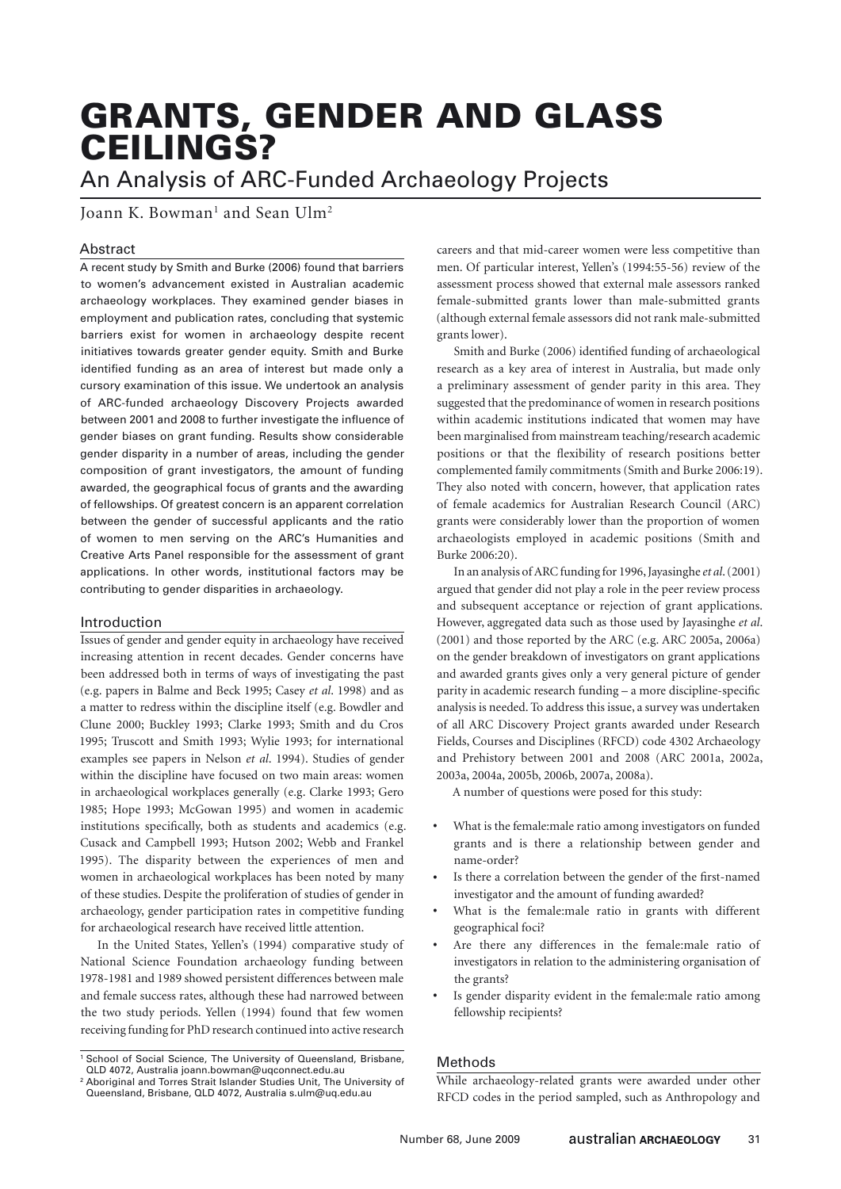# GRANTS, GENDER AND GLASS CEILINGS?

An Analysis of ARC-Funded Archaeology Projects

Joann K. Bowman $^{\rm l}$  and Sean Ulm $^{\rm 2}$ 

# Abstract

A recent study by Smith and Burke (2006) found that barriers to women's advancement existed in Australian academic archaeology workplaces. They examined gender biases in employment and publication rates, concluding that systemic barriers exist for women in archaeology despite recent initiatives towards greater gender equity. Smith and Burke identified funding as an area of interest but made only a cursory examination of this issue. We undertook an analysis of ARC-funded archaeology Discovery Projects awarded between 2001 and 2008 to further investigate the influence of gender biases on grant funding. Results show considerable gender disparity in a number of areas, including the gender composition of grant investigators, the amount of funding awarded, the geographical focus of grants and the awarding of fellowships. Of greatest concern is an apparent correlation between the gender of successful applicants and the ratio of women to men serving on the ARC's Humanities and Creative Arts Panel responsible for the assessment of grant applications. In other words, institutional factors may be contributing to gender disparities in archaeology.

## Introduction

Issues of gender and gender equity in archaeology have received increasing attention in recent decades. Gender concerns have been addressed both in terms of ways of investigating the past (e.g. papers in Balme and Beck 1995; Casey *et al*. 1998) and as a matter to redress within the discipline itself (e.g. Bowdler and Clune 2000; Buckley 1993; Clarke 1993; Smith and du Cros 1995; Truscott and Smith 1993; Wylie 1993; for international examples see papers in Nelson *et al*. 1994). Studies of gender within the discipline have focused on two main areas: women in archaeological workplaces generally (e.g. Clarke 1993; Gero 1985; Hope 1993; McGowan 1995) and women in academic institutions specifically, both as students and academics (e.g. Cusack and Campbell 1993; Hutson 2002; Webb and Frankel 1995). The disparity between the experiences of men and women in archaeological workplaces has been noted by many of these studies. Despite the proliferation of studies of gender in archaeology, gender participation rates in competitive funding for archaeological research have received little attention.

In the United States, Yellen's (1994) comparative study of National Science Foundation archaeology funding between 1978-1981 and 1989 showed persistent differences between male and female success rates, although these had narrowed between the two study periods. Yellen (1994) found that few women receiving funding for PhD research continued into active research

careers and that mid-career women were less competitive than men. Of particular interest, Yellen's (1994:55-56) review of the assessment process showed that external male assessors ranked female-submitted grants lower than male-submitted grants (although external female assessors did not rank male-submitted grants lower).

Smith and Burke (2006) identified funding of archaeological research as a key area of interest in Australia, but made only a preliminary assessment of gender parity in this area. They suggested that the predominance of women in research positions within academic institutions indicated that women may have been marginalised from mainstream teaching/research academic positions or that the flexibility of research positions better complemented family commitments (Smith and Burke 2006:19). They also noted with concern, however, that application rates of female academics for Australian Research Council (ARC) grants were considerably lower than the proportion of women archaeologists employed in academic positions (Smith and Burke 2006:20).

In an analysis of ARC funding for 1996, Jayasinghe *et al*. (2001) argued that gender did not play a role in the peer review process and subsequent acceptance or rejection of grant applications. However, aggregated data such as those used by Jayasinghe *et al*. (2001) and those reported by the ARC (e.g. ARC 2005a, 2006a) on the gender breakdown of investigators on grant applications and awarded grants gives only a very general picture of gender parity in academic research funding – a more discipline-specific analysis is needed. To address this issue, a survey was undertaken of all ARC Discovery Project grants awarded under Research Fields, Courses and Disciplines (RFCD) code 4302 Archaeology and Prehistory between 2001 and 2008 (ARC 2001a, 2002a, 2003a, 2004a, 2005b, 2006b, 2007a, 2008a).

A number of questions were posed for this study:

- What is the female:male ratio among investigators on funded grants and is there a relationship between gender and name-order?
- Is there a correlation between the gender of the first-named investigator and the amount of funding awarded?
- What is the female:male ratio in grants with different geographical foci?
- Are there any differences in the female:male ratio of investigators in relation to the administering organisation of the grants?
- Is gender disparity evident in the female:male ratio among fellowship recipients?

# Methods

While archaeology-related grants were awarded under other RFCD codes in the period sampled, such as Anthropology and

<sup>&</sup>lt;sup>1</sup> School of Social Science, The University of Queensland, Brisbane, QLD 4072, Australia joann.bowman@uqconnect.edu.au

<sup>2</sup> Aboriginal and Torres Strait Islander Studies Unit, The University of Queensland, Brisbane, QLD 4072, Australia s.ulm@uq.edu.au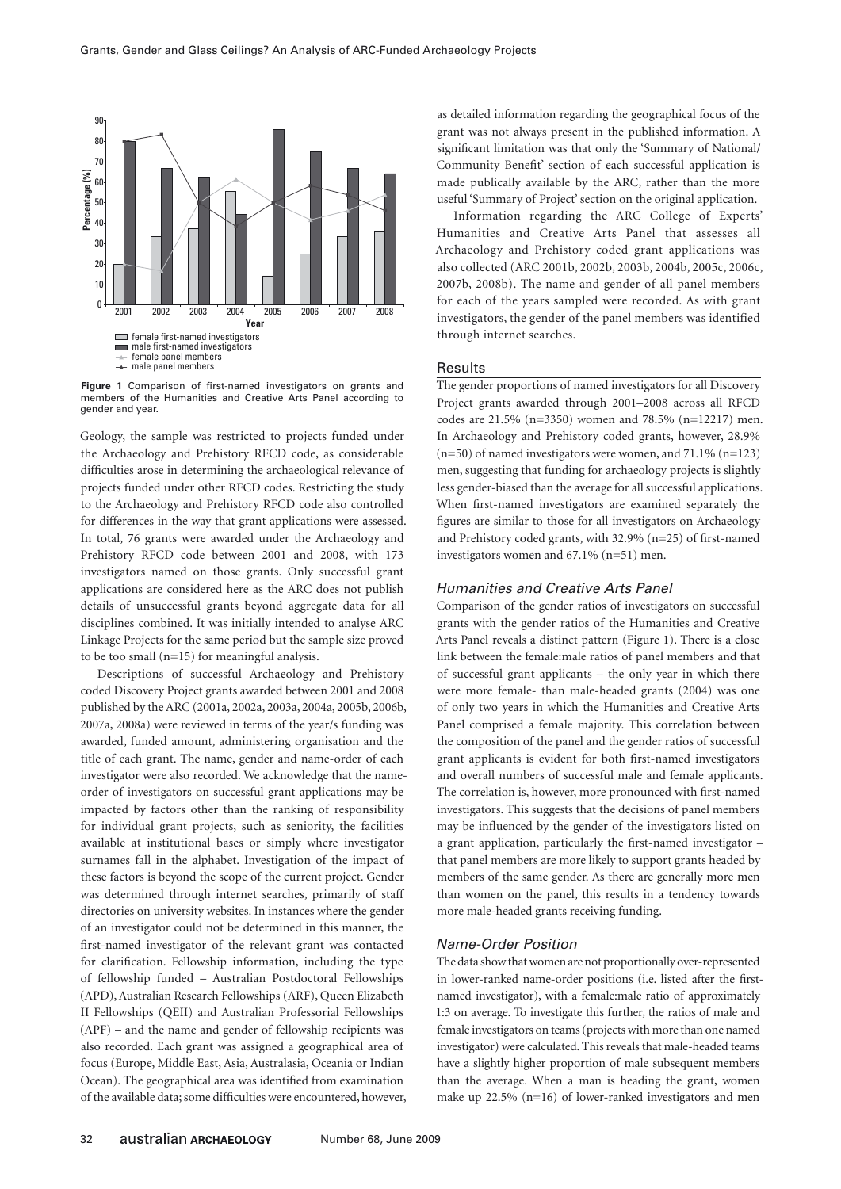

**Figure 1** Comparison of first-named investigators on grants and members of the Humanities and Creative Arts Panel according to gender and year.

Geology, the sample was restricted to projects funded under the Archaeology and Prehistory RFCD code, as considerable difficulties arose in determining the archaeological relevance of projects funded under other RFCD codes. Restricting the study to the Archaeology and Prehistory RFCD code also controlled for differences in the way that grant applications were assessed. In total, 76 grants were awarded under the Archaeology and Prehistory RFCD code between 2001 and 2008, with 173 investigators named on those grants. Only successful grant applications are considered here as the ARC does not publish details of unsuccessful grants beyond aggregate data for all disciplines combined. It was initially intended to analyse ARC Linkage Projects for the same period but the sample size proved to be too small (n=15) for meaningful analysis.

Descriptions of successful Archaeology and Prehistory coded Discovery Project grants awarded between 2001 and 2008 published by the ARC (2001a, 2002a, 2003a, 2004a, 2005b, 2006b, 2007a, 2008a) were reviewed in terms of the year/s funding was awarded, funded amount, administering organisation and the title of each grant. The name, gender and name-order of each investigator were also recorded. We acknowledge that the nameorder of investigators on successful grant applications may be impacted by factors other than the ranking of responsibility for individual grant projects, such as seniority, the facilities available at institutional bases or simply where investigator surnames fall in the alphabet. Investigation of the impact of these factors is beyond the scope of the current project. Gender was determined through internet searches, primarily of staff directories on university websites. In instances where the gender of an investigator could not be determined in this manner, the first-named investigator of the relevant grant was contacted for clarification. Fellowship information, including the type of fellowship funded – Australian Postdoctoral Fellowships (APD), Australian Research Fellowships (ARF), Queen Elizabeth II Fellowships (QEII) and Australian Professorial Fellowships (APF) – and the name and gender of fellowship recipients was also recorded. Each grant was assigned a geographical area of focus (Europe, Middle East, Asia, Australasia, Oceania or Indian Ocean). The geographical area was identified from examination of the available data; some difficulties were encountered, however, as detailed information regarding the geographical focus of the grant was not always present in the published information. A significant limitation was that only the 'Summary of National/ Community Benefit' section of each successful application is made publically available by the ARC, rather than the more useful 'Summary of Project' section on the original application.

Information regarding the ARC College of Experts' Humanities and Creative Arts Panel that assesses all Archaeology and Prehistory coded grant applications was also collected (ARC 2001b, 2002b, 2003b, 2004b, 2005c, 2006c, 2007b, 2008b). The name and gender of all panel members for each of the years sampled were recorded. As with grant investigators, the gender of the panel members was identified through internet searches.

## **Results**

The gender proportions of named investigators for all Discovery Project grants awarded through 2001–2008 across all RFCD codes are 21.5% (n=3350) women and 78.5% (n=12217) men. In Archaeology and Prehistory coded grants, however, 28.9% (n=50) of named investigators were women, and 71.1% (n=123) men, suggesting that funding for archaeology projects is slightly less gender-biased than the average for all successful applications. When first-named investigators are examined separately the figures are similar to those for all investigators on Archaeology and Prehistory coded grants, with 32.9% (n=25) of first-named investigators women and 67.1% (n=51) men.

## *Humanities and Creative Arts Panel*

Comparison of the gender ratios of investigators on successful grants with the gender ratios of the Humanities and Creative Arts Panel reveals a distinct pattern (Figure 1). There is a close link between the female:male ratios of panel members and that of successful grant applicants – the only year in which there were more female- than male-headed grants (2004) was one of only two years in which the Humanities and Creative Arts Panel comprised a female majority. This correlation between the composition of the panel and the gender ratios of successful grant applicants is evident for both first-named investigators and overall numbers of successful male and female applicants. The correlation is, however, more pronounced with first-named investigators. This suggests that the decisions of panel members may be influenced by the gender of the investigators listed on a grant application, particularly the first-named investigator – that panel members are more likely to support grants headed by members of the same gender. As there are generally more men than women on the panel, this results in a tendency towards more male-headed grants receiving funding.

#### *Name-Order Position*

The data show that women are not proportionally over-represented in lower-ranked name-order positions (i.e. listed after the firstnamed investigator), with a female:male ratio of approximately 1:3 on average. To investigate this further, the ratios of male and female investigators on teams (projects with more than one named investigator) were calculated. This reveals that male-headed teams have a slightly higher proportion of male subsequent members than the average. When a man is heading the grant, women make up 22.5% (n=16) of lower-ranked investigators and men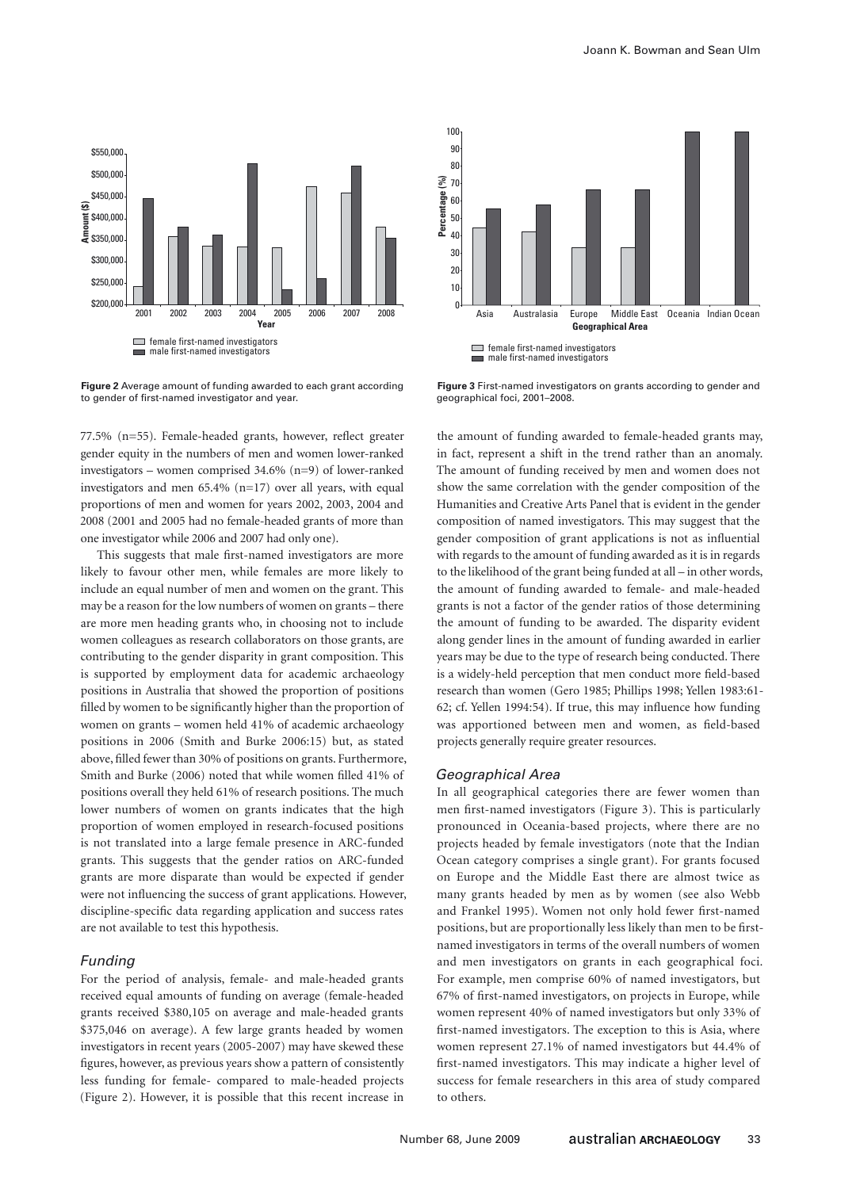

**Figure 2** Average amount of funding awarded to each grant according to gender of first-named investigator and year.

Asia Australasia Europe Middle East Oceania Indian Ocean  $\overline{0}$ 10 **Geographical Area Figure 1** female first-named investigators  $\blacksquare$  male first-named investigators

**Figure 3** First-named investigators on grants according to gender and geographical foci, 2001–2008.

77.5% (n=55). Female-headed grants, however, reflect greater gender equity in the numbers of men and women lower-ranked investigators – women comprised 34.6% (n=9) of lower-ranked investigators and men 65.4% (n=17) over all years, with equal proportions of men and women for years 2002, 2003, 2004 and 2008 (2001 and 2005 had no female-headed grants of more than one investigator while 2006 and 2007 had only one).

This suggests that male first-named investigators are more likely to favour other men, while females are more likely to include an equal number of men and women on the grant. This may be a reason for the low numbers of women on grants – there are more men heading grants who, in choosing not to include women colleagues as research collaborators on those grants, are contributing to the gender disparity in grant composition. This is supported by employment data for academic archaeology positions in Australia that showed the proportion of positions filled by women to be significantly higher than the proportion of women on grants – women held 41% of academic archaeology positions in 2006 (Smith and Burke 2006:15) but, as stated above, filled fewer than 30% of positions on grants. Furthermore, Smith and Burke (2006) noted that while women filled 41% of positions overall they held 61% of research positions. The much lower numbers of women on grants indicates that the high proportion of women employed in research-focused positions is not translated into a large female presence in ARC-funded grants. This suggests that the gender ratios on ARC-funded grants are more disparate than would be expected if gender were not influencing the success of grant applications. However, discipline-specific data regarding application and success rates are not available to test this hypothesis.

# *Funding*

For the period of analysis, female- and male-headed grants received equal amounts of funding on average (female-headed grants received \$380,105 on average and male-headed grants \$375,046 on average). A few large grants headed by women investigators in recent years (2005-2007) may have skewed these figures, however, as previous years show a pattern of consistently less funding for female- compared to male-headed projects (Figure 2). However, it is possible that this recent increase in

the amount of funding awarded to female-headed grants may, in fact, represent a shift in the trend rather than an anomaly. The amount of funding received by men and women does not show the same correlation with the gender composition of the Humanities and Creative Arts Panel that is evident in the gender composition of named investigators. This may suggest that the gender composition of grant applications is not as influential with regards to the amount of funding awarded as it is in regards to the likelihood of the grant being funded at all – in other words, the amount of funding awarded to female- and male-headed grants is not a factor of the gender ratios of those determining the amount of funding to be awarded. The disparity evident along gender lines in the amount of funding awarded in earlier years may be due to the type of research being conducted. There is a widely-held perception that men conduct more field-based research than women (Gero 1985; Phillips 1998; Yellen 1983:61- 62; cf. Yellen 1994:54). If true, this may influence how funding was apportioned between men and women, as field-based projects generally require greater resources.

#### *Geographical Area*

**Percentage (%)** 

In all geographical categories there are fewer women than men first-named investigators (Figure 3). This is particularly pronounced in Oceania-based projects, where there are no projects headed by female investigators (note that the Indian Ocean category comprises a single grant). For grants focused on Europe and the Middle East there are almost twice as many grants headed by men as by women (see also Webb and Frankel 1995). Women not only hold fewer first-named positions, but are proportionally less likely than men to be firstnamed investigators in terms of the overall numbers of women and men investigators on grants in each geographical foci. For example, men comprise 60% of named investigators, but 67% of first-named investigators, on projects in Europe, while women represent 40% of named investigators but only 33% of first-named investigators. The exception to this is Asia, where women represent 27.1% of named investigators but 44.4% of first-named investigators. This may indicate a higher level of success for female researchers in this area of study compared to others.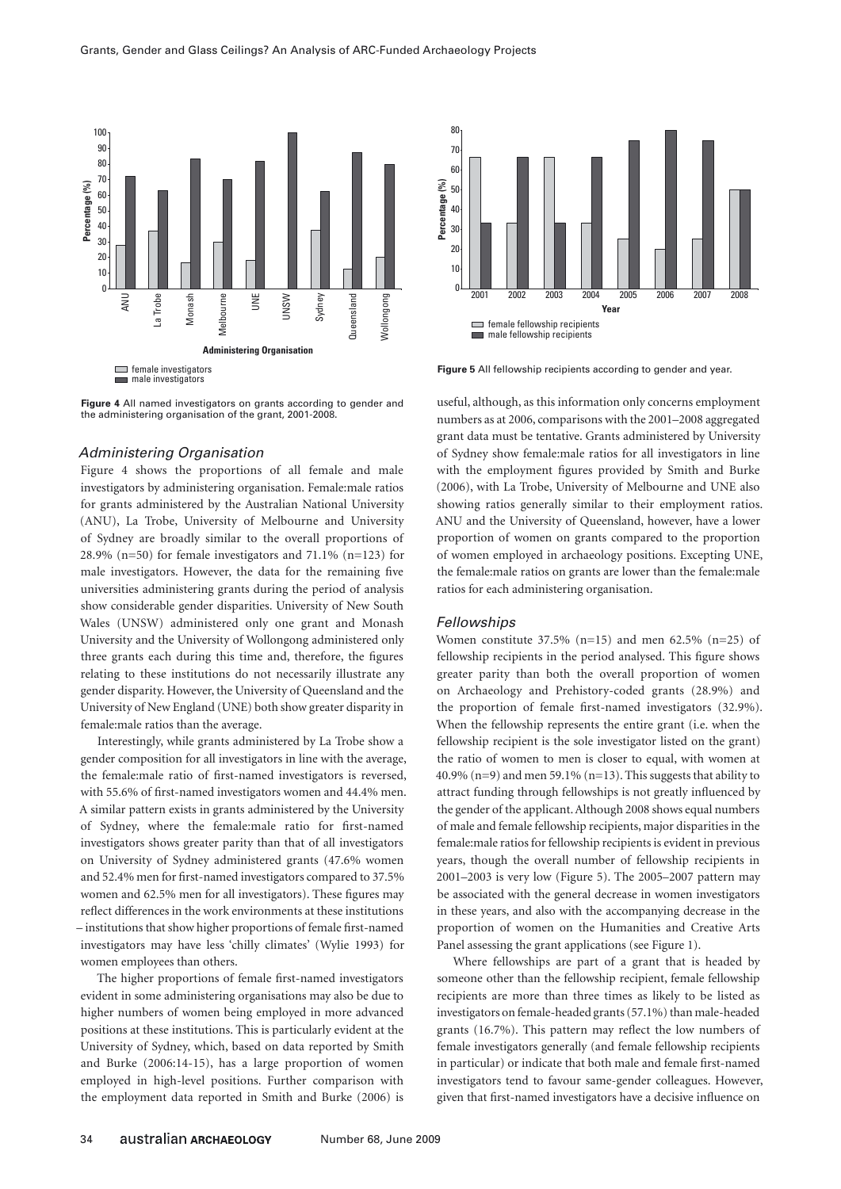

**Figure 4** All named investigators on grants according to gender and the administering organisation of the grant, 2001-2008.

## *Administering Organisation*

Figure 4 shows the proportions of all female and male investigators by administering organisation. Female:male ratios for grants administered by the Australian National University (ANU), La Trobe, University of Melbourne and University of Sydney are broadly similar to the overall proportions of 28.9% (n=50) for female investigators and  $71.1\%$  (n=123) for male investigators. However, the data for the remaining five universities administering grants during the period of analysis show considerable gender disparities. University of New South Wales (UNSW) administered only one grant and Monash University and the University of Wollongong administered only three grants each during this time and, therefore, the figures relating to these institutions do not necessarily illustrate any gender disparity. However, the University of Queensland and the University of New England (UNE) both show greater disparity in female:male ratios than the average.

Interestingly, while grants administered by La Trobe show a gender composition for all investigators in line with the average, the female:male ratio of first-named investigators is reversed, with 55.6% of first-named investigators women and 44.4% men. A similar pattern exists in grants administered by the University of Sydney, where the female:male ratio for first-named investigators shows greater parity than that of all investigators on University of Sydney administered grants (47.6% women and 52.4% men for first-named investigators compared to 37.5% women and 62.5% men for all investigators). These figures may reflect differences in the work environments at these institutions – institutions that show higher proportions of female first-named investigators may have less 'chilly climates' (Wylie 1993) for women employees than others.

The higher proportions of female first-named investigators evident in some administering organisations may also be due to higher numbers of women being employed in more advanced positions at these institutions. This is particularly evident at the University of Sydney, which, based on data reported by Smith and Burke (2006:14-15), has a large proportion of women employed in high-level positions. Further comparison with the employment data reported in Smith and Burke (2006) is



**Figure 5** All fellowship recipients according to gender and year.

useful, although, as this information only concerns employment numbers as at 2006, comparisons with the 2001–2008 aggregated grant data must be tentative. Grants administered by University of Sydney show female:male ratios for all investigators in line with the employment figures provided by Smith and Burke (2006), with La Trobe, University of Melbourne and UNE also showing ratios generally similar to their employment ratios. ANU and the University of Queensland, however, have a lower proportion of women on grants compared to the proportion of women employed in archaeology positions. Excepting UNE, the female:male ratios on grants are lower than the female:male ratios for each administering organisation.

#### *Fellowships*

Women constitute  $37.5\%$  (n=15) and men  $62.5\%$  (n=25) of fellowship recipients in the period analysed. This figure shows greater parity than both the overall proportion of women on Archaeology and Prehistory-coded grants (28.9%) and the proportion of female first-named investigators (32.9%). When the fellowship represents the entire grant (i.e. when the fellowship recipient is the sole investigator listed on the grant) the ratio of women to men is closer to equal, with women at 40.9% (n=9) and men 59.1% (n=13). This suggests that ability to attract funding through fellowships is not greatly influenced by the gender of the applicant. Although 2008 shows equal numbers of male and female fellowship recipients, major disparities in the female:male ratios for fellowship recipients is evident in previous years, though the overall number of fellowship recipients in 2001–2003 is very low (Figure 5). The 2005–2007 pattern may be associated with the general decrease in women investigators in these years, and also with the accompanying decrease in the proportion of women on the Humanities and Creative Arts Panel assessing the grant applications (see Figure 1).

Where fellowships are part of a grant that is headed by someone other than the fellowship recipient, female fellowship recipients are more than three times as likely to be listed as investigators on female-headed grants (57.1%) than male-headed grants (16.7%). This pattern may reflect the low numbers of female investigators generally (and female fellowship recipients in particular) or indicate that both male and female first-named investigators tend to favour same-gender colleagues. However, given that first-named investigators have a decisive influence on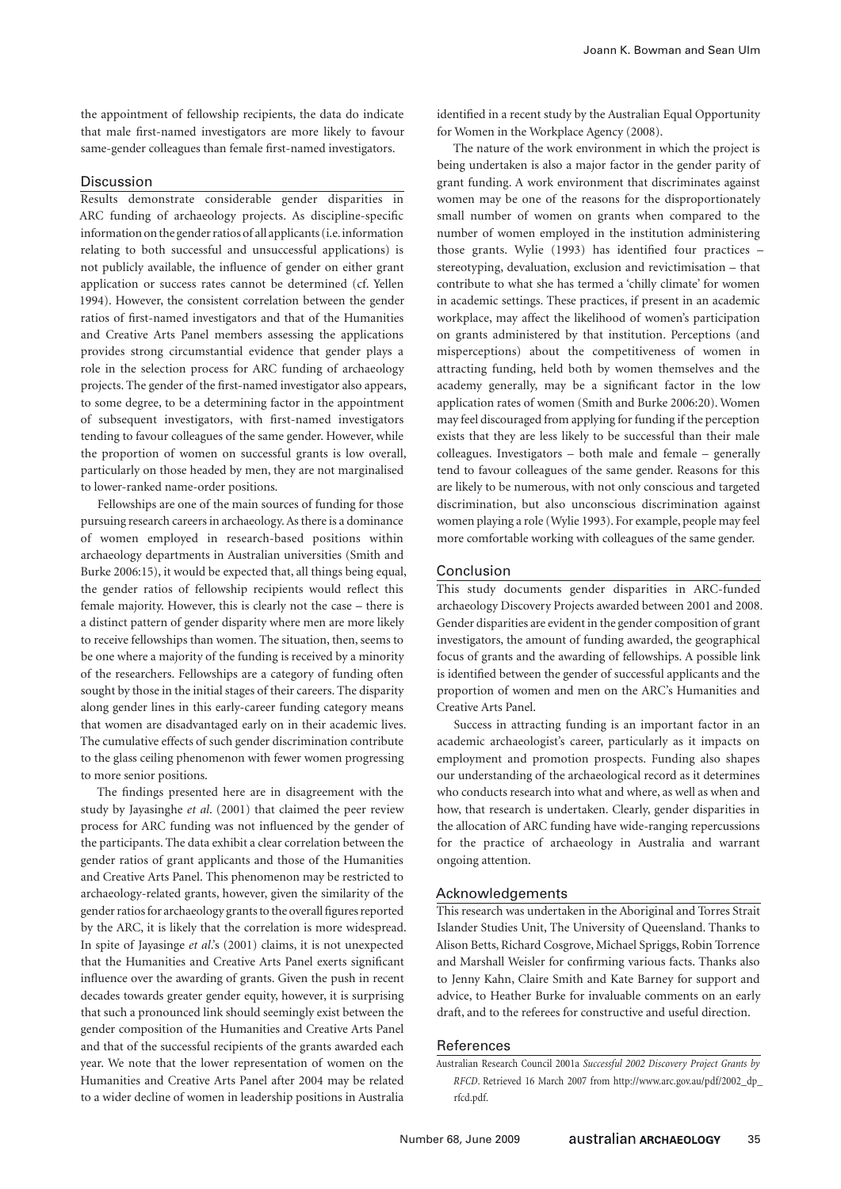the appointment of fellowship recipients, the data do indicate that male first-named investigators are more likely to favour same-gender colleagues than female first-named investigators.

#### Discussion

Results demonstrate considerable gender disparities in ARC funding of archaeology projects. As discipline-specific information on the gender ratios of all applicants (i.e. information relating to both successful and unsuccessful applications) is not publicly available, the influence of gender on either grant application or success rates cannot be determined (cf. Yellen 1994). However, the consistent correlation between the gender ratios of first-named investigators and that of the Humanities and Creative Arts Panel members assessing the applications provides strong circumstantial evidence that gender plays a role in the selection process for ARC funding of archaeology projects. The gender of the first-named investigator also appears, to some degree, to be a determining factor in the appointment of subsequent investigators, with first-named investigators tending to favour colleagues of the same gender. However, while the proportion of women on successful grants is low overall, particularly on those headed by men, they are not marginalised to lower-ranked name-order positions.

Fellowships are one of the main sources of funding for those pursuing research careers in archaeology. As there is a dominance of women employed in research-based positions within archaeology departments in Australian universities (Smith and Burke 2006:15), it would be expected that, all things being equal, the gender ratios of fellowship recipients would reflect this female majority. However, this is clearly not the case – there is a distinct pattern of gender disparity where men are more likely to receive fellowships than women. The situation, then, seems to be one where a majority of the funding is received by a minority of the researchers. Fellowships are a category of funding often sought by those in the initial stages of their careers. The disparity along gender lines in this early-career funding category means that women are disadvantaged early on in their academic lives. The cumulative effects of such gender discrimination contribute to the glass ceiling phenomenon with fewer women progressing to more senior positions.

The findings presented here are in disagreement with the study by Jayasinghe *et al*. (2001) that claimed the peer review process for ARC funding was not influenced by the gender of the participants. The data exhibit a clear correlation between the gender ratios of grant applicants and those of the Humanities and Creative Arts Panel. This phenomenon may be restricted to archaeology-related grants, however, given the similarity of the gender ratios for archaeology grants to the overall figures reported by the ARC, it is likely that the correlation is more widespread. In spite of Jayasinge *et al*.'s (2001) claims, it is not unexpected that the Humanities and Creative Arts Panel exerts significant influence over the awarding of grants. Given the push in recent decades towards greater gender equity, however, it is surprising that such a pronounced link should seemingly exist between the gender composition of the Humanities and Creative Arts Panel and that of the successful recipients of the grants awarded each year. We note that the lower representation of women on the Humanities and Creative Arts Panel after 2004 may be related to a wider decline of women in leadership positions in Australia

identified in a recent study by the Australian Equal Opportunity for Women in the Workplace Agency (2008).

The nature of the work environment in which the project is being undertaken is also a major factor in the gender parity of grant funding. A work environment that discriminates against women may be one of the reasons for the disproportionately small number of women on grants when compared to the number of women employed in the institution administering those grants. Wylie (1993) has identified four practices – stereotyping, devaluation, exclusion and revictimisation – that contribute to what she has termed a 'chilly climate' for women in academic settings. These practices, if present in an academic workplace, may affect the likelihood of women's participation on grants administered by that institution. Perceptions (and misperceptions) about the competitiveness of women in attracting funding, held both by women themselves and the academy generally, may be a significant factor in the low application rates of women (Smith and Burke 2006:20). Women may feel discouraged from applying for funding if the perception exists that they are less likely to be successful than their male colleagues. Investigators – both male and female – generally tend to favour colleagues of the same gender. Reasons for this are likely to be numerous, with not only conscious and targeted discrimination, but also unconscious discrimination against women playing a role (Wylie 1993). For example, people may feel more comfortable working with colleagues of the same gender.

## Conclusion

This study documents gender disparities in ARC-funded archaeology Discovery Projects awarded between 2001 and 2008. Gender disparities are evident in the gender composition of grant investigators, the amount of funding awarded, the geographical focus of grants and the awarding of fellowships. A possible link is identified between the gender of successful applicants and the proportion of women and men on the ARC's Humanities and Creative Arts Panel.

Success in attracting funding is an important factor in an academic archaeologist's career, particularly as it impacts on employment and promotion prospects. Funding also shapes our understanding of the archaeological record as it determines who conducts research into what and where, as well as when and how, that research is undertaken. Clearly, gender disparities in the allocation of ARC funding have wide-ranging repercussions for the practice of archaeology in Australia and warrant ongoing attention.

#### Acknowledgements

This research was undertaken in the Aboriginal and Torres Strait Islander Studies Unit, The University of Queensland. Thanks to Alison Betts, Richard Cosgrove, Michael Spriggs, Robin Torrence and Marshall Weisler for confirming various facts. Thanks also to Jenny Kahn, Claire Smith and Kate Barney for support and advice, to Heather Burke for invaluable comments on an early draft, and to the referees for constructive and useful direction.

#### References

Australian Research Council 2001a *Successful 2002 Discovery Project Grants by RFCD*. Retrieved 16 March 2007 from http://www.arc.gov.au/pdf/2002\_dp\_ rfcd.pdf.